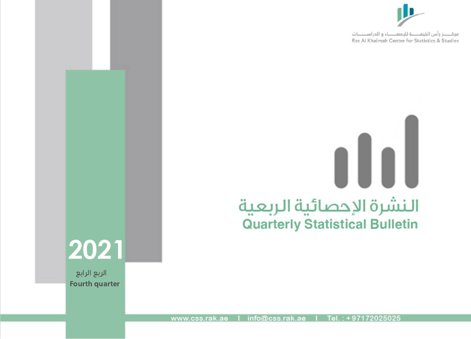

# $\blacksquare$ النشرة الإحصائية الربعية **Quarterly Statistical Bulletin**

2021

الربع الرابع Fourth quarter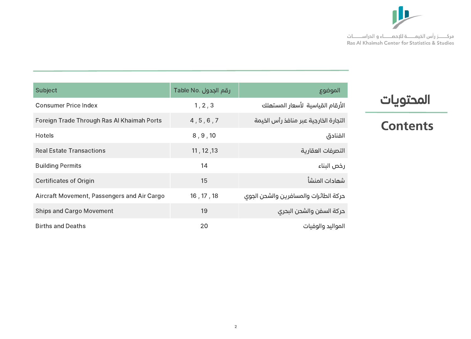

| <b>Subject</b>                              | رقم الجدول .Table No | الموضوع                               |
|---------------------------------------------|----------------------|---------------------------------------|
| <b>Consumer Price Index</b>                 | 1, 2, 3              | الأرقام القياسية الأسعار المستهلك     |
| Foreign Trade Through Ras Al Khaimah Ports  | 4, 5, 6, 7           | التجارة الخارجية عبر منافذ رأس الخيمة |
| <b>Hotels</b>                               | 8, 9, 10             | الفنادق                               |
| <b>Real Estate Transactions</b>             | 11, 12, 13           | التصرفات العقارية                     |
| <b>Building Permits</b>                     | 14                   | رخص البناء                            |
| <b>Certificates of Origin</b>               | 15                   | شهادات المنشأ                         |
| Aircraft Movement, Passengers and Air Cargo | 16, 17, 18           | حركة الطائرات والمسافرين والشحن الجوى |
| <b>Ships and Cargo Movement</b>             | 19                   | حركة السفن والشحن البحرى              |
| <b>Births and Deaths</b>                    | 20                   | المواليد والوفيات                     |

# المحتويات

# **Contents**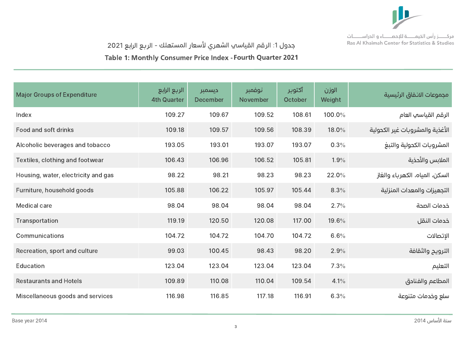

جدول 1: الرقم القياسي الشهري لاسعار المستهلك - الربع الرابع 2021

Table 1: Monthly Consumer Price Index - Fourth Quarter 2021

| <b>Major Groups of Expenditure</b>  | الربع الرابع<br><b>4th Quarter</b> | ديسمبر<br><b>December</b> | نوفمبر<br><b>November</b> | آكتوبر<br>October | الوزن<br>Weight | مجموعات الانفاق الرئيسية        |
|-------------------------------------|------------------------------------|---------------------------|---------------------------|-------------------|-----------------|---------------------------------|
| Index                               | 109.27                             | 109.67                    | 109.52                    | 108.61            | 100.0%          | الرقم القياسي العام             |
| Food and soft drinks                | 109.18                             | 109.57                    | 109.56                    | 108.39            | 18.0%           | الأغذية والمشروبات غير الكحولية |
| Alcoholic beverages and tobacco     | 193.05                             | 193.01                    | 193.07                    | 193.07            | 0.3%            | المشروبات الكحولية والتبغ       |
| Textiles, clothing and footwear     | 106.43                             | 106.96                    | 106.52                    | 105.81            | 1.9%            | الملابس والأحذية                |
| Housing, water, electricity and gas | 98.22                              | 98.21                     | 98.23                     | 98.23             | 22.0%           | السكن، المياه، الكهرباء والغاز  |
| Furniture, household goods          | 105.88                             | 106.22                    | 105.97                    | 105.44            | 8.3%            | التجهيزات والمعدات المنزلية     |
| <b>Medical care</b>                 | 98.04                              | 98.04                     | 98.04                     | 98.04             | 2.7%            | خدمات الصحة                     |
| Transportation                      | 119.19                             | 120.50                    | 120.08                    | 117.00            | 19.6%           | خدمات النقل                     |
| Communications                      | 104.72                             | 104.72                    | 104.70                    | 104.72            | 6.6%            | الإتصالات                       |
| Recreation, sport and culture       | 99.03                              | 100.45                    | 98.43                     | 98.20             | 2.9%            | الترويح والثقافة                |
| Education                           | 123.04                             | 123.04                    | 123.04                    | 123.04            | 7.3%            | التعليم                         |
| <b>Restaurants and Hotels</b>       | 109.89                             | 110.08                    | 110.04                    | 109.54            | 4.1%            | المطاعم والفنادق                |
| Miscellaneous goods and services    | 116.98                             | 116.85                    | 117.18                    | 116.91            | 6.3%            | سلع وخدمات متنوعة               |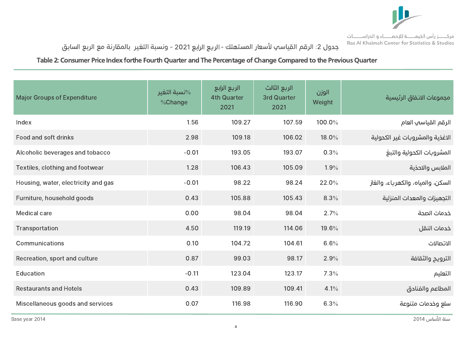

# جدول 2: الرقم القياسي لاسعار المستهلك -الربع الرابع 2021 - ونسبة التغير بالمقارنة مع الربع السابق

#### Table 2: Consumer Price Index forthe Fourth Quarter and The Percentage of Change Compared to the Previous Quarter

| <b>Major Groups of Expenditure</b>  | %نسبة التغير<br>%Change | الربع الرابع<br><b>4th Quarter</b><br>2021 | الربع الثالث<br><b>3rd Quarter</b><br>2021 | الوزن<br>Weight | مجموعات الانفاق الرئيسية          |
|-------------------------------------|-------------------------|--------------------------------------------|--------------------------------------------|-----------------|-----------------------------------|
| Index                               | 1.56                    | 109.27                                     | 107.59                                     | 100.0%          | الرقم القياسي العام               |
| Food and soft drinks                | 2.98                    | 109.18                                     | 106.02                                     | 18.0%           | الاغذية والمشروبات غير الكحولية   |
| Alcoholic beverages and tobacco     | $-0.01$                 | 193.05                                     | 193.07                                     | 0.3%            | المشروبات الكحولية والتبغ         |
| Textiles, clothing and footwear     | 1.28                    | 106.43                                     | 105.09                                     | 1.9%            | الملابس والاحذية                  |
| Housing, water, electricity and gas | $-0.01$                 | 98.22                                      | 98.24                                      | 22.0%           | السكن، والمياه، والكهرباء، والغاز |
| Furniture, household goods          | 0.43                    | 105.88                                     | 105.43                                     | 8.3%            | التجهيزات والمعدات المنزلية       |
| <b>Medical care</b>                 | 0.00                    | 98.04                                      | 98.04                                      | 2.7%            | خدمات الصحة                       |
| Transportation                      | 4.50                    | 119.19                                     | 114.06                                     | 19.6%           | خدمات النقل                       |
| Communications                      | 0.10                    | 104.72                                     | 104.61                                     | 6.6%            | الاتصالات                         |
| Recreation, sport and culture       | 0.87                    | 99.03                                      | 98.17                                      | 2.9%            | الترويح والثقافة                  |
| Education                           | $-0.11$                 | 123.04                                     | 123.17                                     | 7.3%            | التعليم                           |
| <b>Restaurants and Hotels</b>       | 0.43                    | 109.89                                     | 109.41                                     | 4.1%            | المطاعم والفنادق                  |
| Miscellaneous goods and services    | 0.07                    | 116.98                                     | 116.90                                     | 6.3%            | سلع وخدمات متنوعة                 |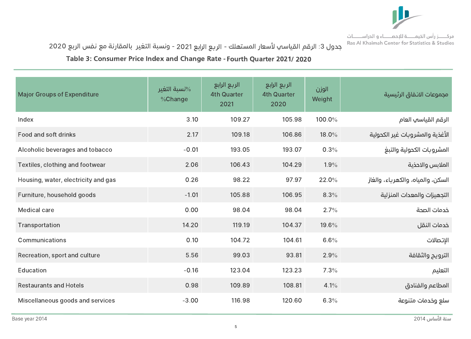

جدول 3: الرقم القياسي لأسعار المستهلك - الربع الرابع 2021 - ونسبة التغير بالمقارنة مع نفس الربع 2020

Table 3: Consumer Price Index and Change Rate - Fourth Quarter 2021 / 2020

| <b>Major Groups of Expenditure</b>  | نسبة التغير $\%$<br>%Change | الربع الرابع<br><b>4th Quarter</b><br>2021 | الربع الرابع<br><b>4th Quarter</b><br>2020 | الوزن<br>Weight | مجموعات الانفاق الرئيسية          |
|-------------------------------------|-----------------------------|--------------------------------------------|--------------------------------------------|-----------------|-----------------------------------|
| Index                               | 3.10                        | 109.27                                     | 105.98                                     | 100.0%          | الرقم القياسي العام               |
| Food and soft drinks                | 2.17                        | 109.18                                     | 106.86                                     | 18.0%           | الأغذية والمشروبات غير الكحولية   |
| Alcoholic beverages and tobacco     | $-0.01$                     | 193.05                                     | 193.07                                     | 0.3%            | المشروبات الكحولية والتبغ         |
| Textiles, clothing and footwear     | 2.06                        | 106.43                                     | 104.29                                     | 1.9%            | الملابس والاحذية                  |
| Housing, water, electricity and gas | 0.26                        | 98.22                                      | 97.97                                      | 22.0%           | السكن، والمياه، والكهرباء، والغاز |
| Furniture, household goods          | $-1.01$                     | 105.88                                     | 106.95                                     | 8.3%            | التجهيزات والمعدات المنزلية       |
| <b>Medical care</b>                 | 0.00                        | 98.04                                      | 98.04                                      | 2.7%            | خدمات الصحة                       |
| Transportation                      | 14.20                       | 119.19                                     | 104.37                                     | 19.6%           | خدمات النقل                       |
| Communications                      | 0.10                        | 104.72                                     | 104.61                                     | 6.6%            | الإتصالات                         |
| Recreation, sport and culture       | 5.56                        | 99.03                                      | 93.81                                      | 2.9%            | الترويح والثقافة                  |
| Education                           | $-0.16$                     | 123.04                                     | 123.23                                     | 7.3%            | التعليم                           |
| <b>Restaurants and Hotels</b>       | 0.98                        | 109.89                                     | 108.81                                     | 4.1%            | المطاعم والفنادق                  |
| Miscellaneous goods and services    | $-3.00$                     | 116.98                                     | 120.60                                     | 6.3%            | سلع وخدمات متنوعة                 |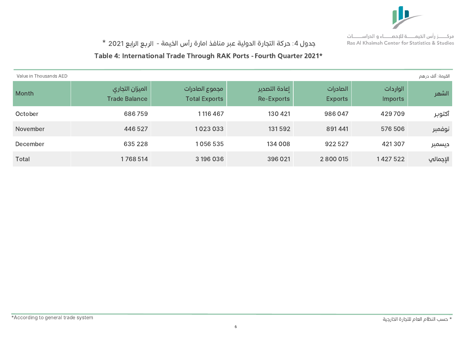

# جدول 4: حركة التجارة الدولية عبر منافذ امارة رأس الخيمة - الربع الرابع 2021 \*

#### Table 4: International Trade Through RAK Ports - Fourth Quarter 2021\*

| Value in Thousands AED |                                         |                                        |                                    |                            |                            | القيمة: ألف درهم |
|------------------------|-----------------------------------------|----------------------------------------|------------------------------------|----------------------------|----------------------------|------------------|
| Month                  | الميزان التجاري<br><b>Trade Balance</b> | مجموع الصادرات<br><b>Total Exports</b> | اعادة التصدير<br><b>Re-Exports</b> | الصادرات<br><b>Exports</b> | الواردات<br><b>Imports</b> | الشهر            |
| October                | 686759                                  | 1116 467                               | 130 421                            | 986047                     | 429709                     | أكتوبر           |
| November               | 446 527                                 | 1023033                                | 131592                             | 891441                     | 576 506                    | نوفمبر           |
| December               | 635 228                                 | 1056535                                | 134 008                            | 922 527                    | 421307                     | ديسمبر           |
| <b>Total</b>           | 1768 514                                | 3 196 036                              | 396 021                            | 2 800 015                  | 1427522                    | الإجمالي         |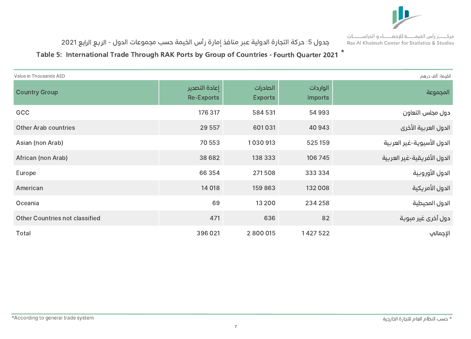

جدول 5: حركة التجارة الدولية عبر منافذ إمارة رأس الخيمة حسب مجموعات الدول - الربع الرابع 2021

Table 5: International Trade Through RAK Ports by Group of Countries - Fourth Quarter 2021  $^{\star}$ 

| القيمة: ألف درهم<br>Value in Thousands AED |                                    |                            |                            |                             |  |  |  |
|--------------------------------------------|------------------------------------|----------------------------|----------------------------|-----------------------------|--|--|--|
| <b>Country Group</b>                       | إعادة التصدير<br><b>Re-Exports</b> | الصادرات<br><b>Exports</b> | الواردات<br><b>Imports</b> | المجموعة                    |  |  |  |
| GCC                                        | 176 317                            | 584 531                    | 54993                      | دول مجلس التعاون            |  |  |  |
| <b>Other Arab countries</b>                | 29 5 57                            | 601031                     | 40 943                     | الدول العربية الأخرى        |  |  |  |
| Asian (non Arab)                           | 70 553                             | 1030913                    | 525 159                    | الدول الأسيوية-غير العربية  |  |  |  |
| African (non Arab)                         | 38 6 8 2                           | 138 333                    | 106 745                    | الدول الأفريقية-غير العربية |  |  |  |
| Europe                                     | 66 354                             | 271508                     | 333 334                    | الدول الأوروبية             |  |  |  |
| American                                   | 14 018                             | 159863                     | 132 008                    | الدول الأمريكية             |  |  |  |
| Oceania                                    | 69                                 | 13 200                     | 234 258                    | الدول المحيطية              |  |  |  |
| <b>Other Countries not classified</b>      | 471                                | 636                        | 82                         | دول أخرى غير مبوبة          |  |  |  |
| <b>Total</b>                               | 396 021                            | 2800015                    | 1427522                    | الإجمالي                    |  |  |  |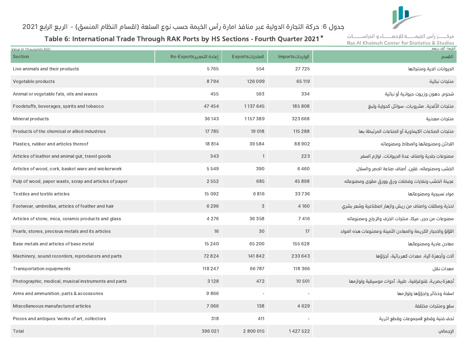

#### جدول 6: حركة التجارة الدولية عبر منافذ امارة رأس الخيمة حسب نوع السلعة (اقسام النظام المنسق) - الربع الرابع 2021

Table 6: International Trade Through RAK Ports by HS Sections - Fourth Quarter 2021 $^{\star}$ 

مركــــــز رأس الخيمــــــــــة للإحصــــــــاء و الدراســـــــات Ras Al Khaimah Center for Statistics & Studies

| Value in Thousands AED                                 |                          |                         |                          | القيمة: آلف در هم                                            |
|--------------------------------------------------------|--------------------------|-------------------------|--------------------------|--------------------------------------------------------------|
| Section                                                | إعادة التصدير Re-Exports | <b>Exports</b> الصادرات | الوارداتImports          | القسم                                                        |
| Live animals and their products                        | 5765                     | 554                     | 27725                    | الحيوانات الحية ومنتجاتها                                    |
| Vegetable products                                     | 8794                     | 126 099                 | 65 119                   | منتجات نباتية                                                |
| Animal or vegetable fats, oils and waxes               | 455                      | 593                     | 334                      | شحوم، دهون وزيوت حيوانية أو نباتية                           |
| Foodstuffs, beverages, spirits and tobacco             | 47 454                   | 1137645                 | 185 808                  | منتجات الأغدية، مشروبات، سوائل كحولية وتبغ                   |
| Mineral products                                       | 36 143                   | 1157389                 | 323 668                  | منتجات معدنية                                                |
| Products of the chemical or allied industries          | 17785                    | 19 018                  | 115 288                  | منتجات الصناعات الكيماوية أو الصناعات المرتبطة بها           |
| Plastics, rubber and articles thereof                  | 18 8 14                  | 39584                   | 88902                    | اللدائن ومصنوعاتها والمطاط ومصنوعاته                         |
| Articles of leather and animal gut, travel goods       | 343                      | $\mathbf{1}$            | 223                      | مصنوعات جلدية واصناف عدة الحيوانات، لوازم السفر              |
| Articles of wood, cork, basket ware and wickerwork     | 5549                     | 390                     | 6460                     | الخشب ومصنوعاته، فلين، أصناف صناعة الحصر والسلال             |
| Pulp of wood, paper waste, scrap and articles of paper | 2552                     | 685                     | 45898                    | عجينة الخشب ونفايات وفضلات ورق وورق مقوى ومصنوعاته           |
| Textiles and textile articles                          | 15 0 9 2                 | 6816                    | 33736                    | مواد نسيجية ومصنوعاتها                                       |
| Footwear, umbrellas, articles of feather and hair      | 6 2 9 6                  | $\mathcal{S}$           | 4 1 6 0                  | احذية ومظلات واصناف من ريش وازهار اصطناعية وشعر بشرى         |
| Articles of stone, mica, ceramic products and glass    | 4 2 7 6                  | 36 358                  | 7 4 1 6                  | مصنوعات من حجر، ميكا، منتجات الخزف والزجاح ومصنوعاته         |
| Pearls, stones, precious metals and its articles       | 16                       | 30                      | 17                       | اللؤلؤ والاحجار الكريمة والمعادن الثمينة ومصنوعات هذه المواد |
| Base metals and articles of base metal                 | 15 2 4 0                 | 65 200                  | 155 628                  | معادن عادية ومصنوعاتها                                       |
| Machinery, sound recorders, reproducers and parts      | 72824                    | 141842                  | 233643                   | آلات وأجهزة آلية، معدات كهربائية، أجزاؤها                    |
| <b>Transportation equipments</b>                       | 118 247                  | 66787                   | 118 366                  | معدات نقل                                                    |
| Photographic, medical, musical instruments and parts   | 3 1 2 8                  | 472                     | 10 501                   | أجهزة بصرية، فتوغرافية، طبية، أدوات موسيقية ولوازمها         |
| Arms and ammunition; parts & accessories               | 9866                     |                         | $\overline{\phantom{a}}$ | اسلحة وذخائر واجزاؤها ولوازمها                               |
| Miscellaneous manufactured articles                    | 7066                     | 138                     | 4629                     | سلع ومنتجات مختلفة                                           |
| Pieces and antiques 'works of art, collectors          | 318                      | 411                     | $\overline{\phantom{a}}$ | تحف فنية وقطع للمجموعات وقطع اثرية                           |
| Total                                                  | 396 021                  | 2 800 015               | 1427522                  | الإجمالي                                                     |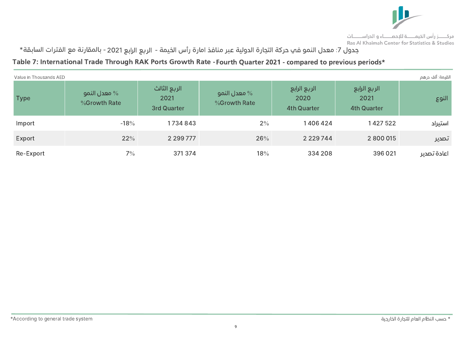

جدول 7: معدل النمو في حركة التجارة الدولية عبر منافذ امارة رأس الخيمة - الربع الرابع 2021 - بالمقارنة مع الفترات السابقة\*

#### Table 7: International Trade Through RAK Ports Growth Rate - Fourth Quarter 2021 - compared to previous periods\*

| Value in Thousands AED |                                 |                                            |                                 |                                            |                                            | القيمة: ألف درهم |
|------------------------|---------------------------------|--------------------------------------------|---------------------------------|--------------------------------------------|--------------------------------------------|------------------|
| <b>Type</b>            | معدل النمو $\%$<br>%Growth Rate | الربع الثالث<br>2021<br><b>3rd Quarter</b> | معدل النمو $\%$<br>%Growth Rate | الربع الرابع<br>2020<br><b>4th Quarter</b> | الربع الرابع<br>2021<br><b>4th Quarter</b> | النوع            |
| Import                 | $-18%$                          | 1734843                                    | $2\%$                           | 1406424                                    | 1427522                                    | استيراد          |
| Export                 | 22%                             | 2 2 9 7 7 7 7                              | 26%                             | 2 2 2 9 7 4 4                              | 2 800 015                                  | تصدير            |
| Re-Export              | $7\%$                           | 371374                                     | 18%                             | 334 208                                    | 396 021                                    | اعادة تصدير      |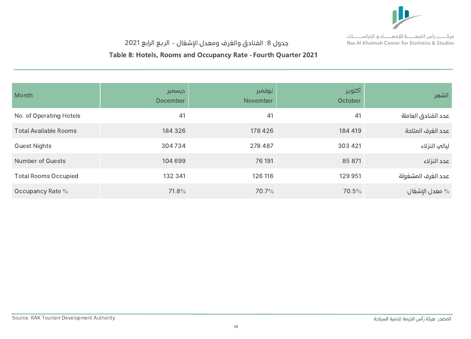

# جدول 8: الفنادق والغرف ومعدل الإشغال - الربع الرابع 2021

#### Table 8: Hotels, Rooms and Occupancy Rate - Fourth Quarter 2021

| Month                        | ديسمبر<br>December | نوفمبر<br>November | أكتوبر<br>October | الشهر               |
|------------------------------|--------------------|--------------------|-------------------|---------------------|
| No. of Operating Hotels      | 41                 | 41                 | 41                | عدد الفنادق العاملة |
| <b>Total Available Rooms</b> | 184 326            | 178 426            | 184 419           | عدد الغرف المتاحة   |
| <b>Guest Nights</b>          | 304734             | 278 487            | 303 421           | ليالب النزلاء       |
| <b>Number of Guests</b>      | 104 699            | 76 191             | 85 871            | عدد النزلاء         |
| <b>Total Rooms Occupied</b>  | 132 341            | 126 116            | 129 951           | عدد الغرف المشغولة  |
| Occupancy Rate %             | 71.8%              | 70.7%              | 70.5%             | معدل الإشغال $\%$   |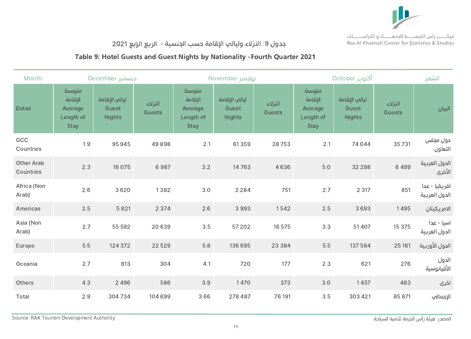

# جدول 9: النزلاء وليالي الإقامة حسب الجنسية - الربع الرابع 2021

#### Table 9: Hotel Guests and Guest Nights by Nationality - Fourth Quarter 2021

| <b>Month</b>                   |                                                         | <b>Lecember</b> دیسمبر                  |                          |                                                         | November نوفمبر                         |                          | أكتوبر October                                          | الشهر                                   |                          |                                |
|--------------------------------|---------------------------------------------------------|-----------------------------------------|--------------------------|---------------------------------------------------------|-----------------------------------------|--------------------------|---------------------------------------------------------|-----------------------------------------|--------------------------|--------------------------------|
| <b>Detail</b>                  | متوسط<br>الإقامة<br>Average<br>Length of<br><b>Stay</b> | ليالي الإقامة<br>Guest<br><b>Nights</b> | النزلاء<br><b>Guests</b> | متوسط<br>الإقامة<br>Average<br>Length of<br><b>Stay</b> | ليالي الإقامة<br>Guest<br><b>Nights</b> | النزلاء<br><b>Guests</b> | متوسط<br>الإقامة<br>Average<br>Length of<br><b>Stay</b> | ليالي الإقامة<br>Guest<br><b>Nights</b> | النزلاء<br><b>Guests</b> | البيان                         |
| GCC<br>Countries               | 1.9                                                     | 95945                                   | 49898                    | 2.1                                                     | 61359                                   | 28753                    | 2.1                                                     | 74044                                   | 35731                    | دول مجلس<br>التعاون            |
| <b>Other Arab</b><br>Countries | 2.3                                                     | 16 0 75                                 | 6987                     | 3.2                                                     | 14763                                   | 4636                     | 5.0                                                     | 32 298                                  | 6499                     | الدول العربية<br>الأخرى        |
| Africa (Non<br>Arab)           | 2.6                                                     | 3620                                    | 1382                     | 3.0                                                     | 2 2 8 4                                 | 751                      | 2.7                                                     | 2 3 1 7                                 | 851                      | افريقيا - عدا<br>الدول العربية |
| Americas                       | 2.5                                                     | 5821                                    | 2 3 7 4                  | 2.6                                                     | 3993                                    | 1542                     | 2.5                                                     | 3693                                    | 1495                     | الامريكيتان                    |
| Asia (Non<br>Arab)             | 2.7                                                     | 55 592                                  | 20 639                   | 3.5                                                     | 57 202                                  | 16 575                   | 3.3                                                     | 51 407                                  | 15 375                   | اسيا - عدا<br>الدول العربية    |
| Europe                         | 5.5                                                     | 124 372                                 | 22 5 29                  | 5.8                                                     | 136 695                                 | 23 3 8 4                 | 5.5                                                     | 137 584                                 | 25 161                   | الدول الأوربية                 |
| Oceania                        | 2.7                                                     | 813                                     | 304                      | 4.1                                                     | 720                                     | 177                      | 2.3                                                     | 621                                     | 276                      | الدول<br>الأقيانوسية           |
| Others                         | 4.3                                                     | 2 4 9 6                                 | 586                      | 3.9                                                     | 1470                                    | 373                      | 3.0                                                     | 1457                                    | 483                      | اخری                           |
| Total                          | 2.9                                                     | 304734                                  | 104 699                  | 3.66                                                    | 278 487                                 | 76 191                   | 3.5                                                     | 303 421                                 | 85 871                   | الإجمالي                       |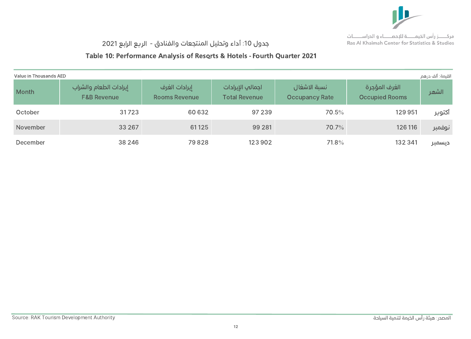

# جدول 10: أداء وتحليل المنتجعات والفنادق - الربع الرابع 2021

# Table 10: Performance Analysis of Resorts & Hotels - Fourth Quarter 2021

| Value in Thousands AED |                                                  |                                       |                                          |                                       |                                        | القيمة: ألف درهم |
|------------------------|--------------------------------------------------|---------------------------------------|------------------------------------------|---------------------------------------|----------------------------------------|------------------|
| Month                  | إيرادات الطعام والشراب<br><b>F&amp;B Revenue</b> | ايرادات الغرف<br><b>Rooms Revenue</b> | اجمالي الإيرادات<br><b>Total Revenue</b> | نسبة الاشغال<br><b>Occupancy Rate</b> | الغرف المؤجرة<br><b>Occupied Rooms</b> | الشهر            |
| October                | 31723                                            | 60 632                                | 97 239                                   | 70.5%                                 | 129 951                                | آكتوبر           |
| November               | 33 267                                           | 61125                                 | 99 281                                   | 70.7%                                 | 126 116                                | نوفمبر           |
| December               | 38 246                                           | 79828                                 | 123 902                                  | 71.8%                                 | 132 341                                | ديسمبر           |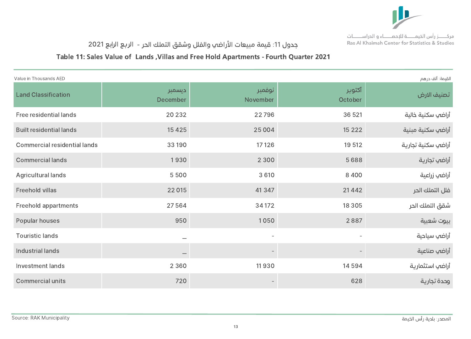

# جدول 11: قيمة مبيعات الأراضي والفلل وشقق التملك الحر - الربع الرابع 2021

#### Table 11: Sales Value of Lands ,Villas and Free Hold Apartments - Fourth Quarter 2021

| القيمة: ألف درهم<br>Value in Thousands AED |                           |                          |                   |                    |  |  |  |  |
|--------------------------------------------|---------------------------|--------------------------|-------------------|--------------------|--|--|--|--|
| <b>Land Classification</b>                 | ديسمبر<br><b>December</b> | أنوفمبر<br>November      | أكتوبر<br>October | تصنيف الارض        |  |  |  |  |
| Free residential lands                     | 20 23 2                   | 22796                    | 36 5 21           | أراضي سكنية خالية  |  |  |  |  |
| <b>Built residential lands</b>             | 15 4 25                   | 25 0 0 4                 | 15 2 2 2          | أراضي سكنية مبنية  |  |  |  |  |
| <b>Commercial residential lands</b>        | 33 190                    | 17 12 6                  | 19 512            | أراضي سكنية تجارية |  |  |  |  |
| <b>Commercial lands</b>                    | 1930                      | 2 3 0 0                  | 5688              | أراضي تجارية       |  |  |  |  |
| <b>Agricultural lands</b>                  | 5500                      | 3 6 1 0                  | 8 4 0 0           | أراضي زراعية       |  |  |  |  |
| <b>Freehold villas</b>                     | 22 015                    | 41347                    | 21442             | فلل التملك الحر    |  |  |  |  |
| <b>Freehold appartments</b>                | 27564                     | 34 172                   | 18 3 0 5          | شقق التملك الحر    |  |  |  |  |
| Popular houses                             | 950                       | 1050                     | 2887              | بيوت شعبية         |  |  |  |  |
| <b>Touristic lands</b>                     |                           | $\overline{\phantom{a}}$ |                   | أراضي سياحية       |  |  |  |  |
| Industrial lands                           |                           |                          |                   | أراضي صناعية       |  |  |  |  |
| <b>Investment lands</b>                    | 2 3 6 0                   | 11930                    | 14 5 94           | أراضي استثمارية    |  |  |  |  |
| <b>Commercial units</b>                    | 720                       |                          | 628               | وحدة تجارية        |  |  |  |  |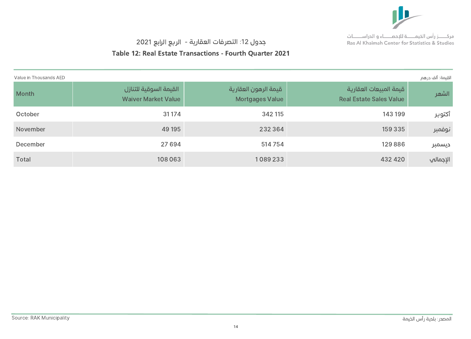

## جدول 12: التصرفات العقارية - الربع الرابع 2021

#### Table 12: Real Estate Transactions - Fourth Quarter 2021

| Value in Thousands AED |                                                      |                                                |                                                          | القيمة: ألف درهم |
|------------------------|------------------------------------------------------|------------------------------------------------|----------------------------------------------------------|------------------|
| Month                  | القيمة السوقية للتنازل<br><b>Waiver Market Value</b> | قيمة الرهون العقارية<br><b>Mortgages Value</b> | قيمة المبيعات العقارية<br><b>Real Estate Sales Value</b> | الشهر            |
| October                | 31 17 4                                              | 342 115                                        | 143 199                                                  | أكتوبر           |
| November               | 49 195                                               | 232 364                                        | 159 335                                                  | نوفمبر           |
| December               | 27 694                                               | 514754                                         | 129886                                                   | ديسمبر           |
| <b>Total</b>           | 108 063                                              | 1089233                                        | 432 420                                                  | الإجمالي         |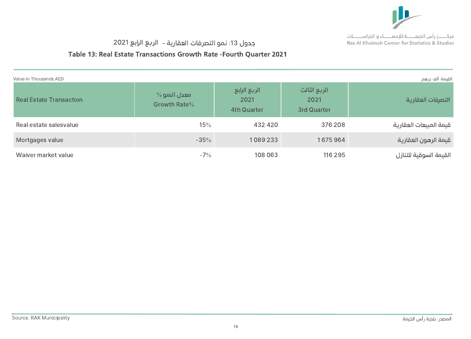

#### جدول :13 نمو التصرفات العقارية - الرع الرابع 2021

#### Table 13: Real Estate Transactions Growth Rate -Fourth Quarter 2021

| القيمة: ألف درهم<br>Value in Thousands AED |                                      |                                            |                                            |                        |  |  |  |  |  |
|--------------------------------------------|--------------------------------------|--------------------------------------------|--------------------------------------------|------------------------|--|--|--|--|--|
| <b>Real Estate Transaction</b>             | $\%$ معدل النمو $\%$<br>Growth Rate% | الربع الرابع<br>2021<br><b>4th Quarter</b> | الربع الثالث<br>2021<br><b>3rd Quarter</b> | التصرفات العقارية      |  |  |  |  |  |
| Real estate salesvalue                     | 15%                                  | 432 420                                    | 376 208                                    | قيمة المبيعات العقارية |  |  |  |  |  |
| Mortgages value                            | $-35%$                               | 1089233                                    | 1675964                                    | قيمة الرهون العقارية   |  |  |  |  |  |
| Waiver market value                        | $-7\%$                               | 108 063                                    | 116 295                                    | القيمة السوقية للتنازل |  |  |  |  |  |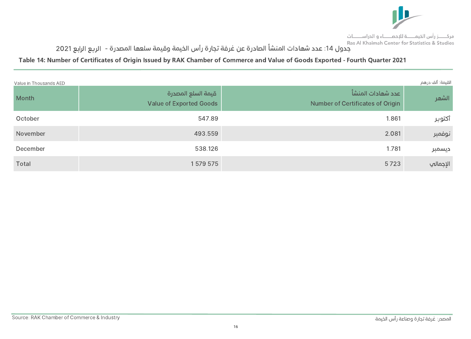

# .<br>جدول 14: عدد شهادات المنشأ الصادرة عن غرفة تجارة رأس الخيمة وقيمة سلعها المصدرة - الربع الرابع 2021

#### Table 14: Number of Certificates of Origin Issued by RAK Chamber of Commerce and Value of Goods Exported - Fourth Quarter 2021

| Value in Thousands AED |                                                      |                                                               | القيمة: ألف درهم |
|------------------------|------------------------------------------------------|---------------------------------------------------------------|------------------|
| Month                  | قيمة السلع المصدرة<br><b>Value of Exported Goods</b> | وعدد شهادات المنشأ<br><b>Number of Certificates of Origin</b> | الشهر            |
| October                | 547.89                                               | 1.861                                                         | أكتوبر           |
| November               | 493.559                                              | 2.081                                                         | نوفمبر           |
| December               | 538.126                                              | 1.781                                                         | ديسمبر           |
| Total                  | 1579575                                              | 5723                                                          | الإجمالي         |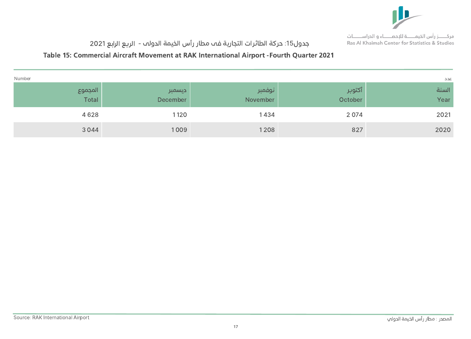

# جدول15: حركة الطائرات التجارية فم مطار رأس الخيمة الدولم - الربع الرابع 2021

#### Table 15: Commercial Aircraft Movement at RAK International Airport -Fourth Quarter 2021

| Number           |                    |                     |                             | عدد           |
|------------------|--------------------|---------------------|-----------------------------|---------------|
| المجموع<br>Total | ديسمبر<br>December | زنوفمبر<br>November | ِ آکتوب <u>ر</u><br>October | السنة<br>Year |
| 4628             | 1120               | 1434                | 2074                        | 2021          |
| 3044             | 1009               | 1208                | 827                         | 2020          |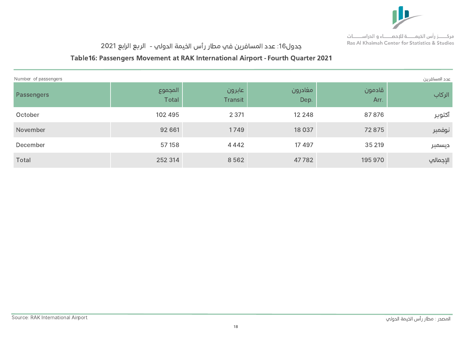

# جدول16: عدد المسافرين في مطار رأس الخيمة الدولي - الربع الرابع 2021

#### Table16: Passengers Movement at RAK International Airport - Fourth Quarter 2021

| Number of passengers<br>عدد المسافرين |                         |                          |                 |                |          |  |  |  |
|---------------------------------------|-------------------------|--------------------------|-----------------|----------------|----------|--|--|--|
| Passengers                            | المجموع<br><b>Total</b> | عابرون<br><b>Transit</b> | مغادرون<br>Dep. | قادمون<br>Arr. | الركاب   |  |  |  |
| October                               | 102 495                 | 2 3 7 1                  | 12 2 4 8        | 87876          | أكتوبر   |  |  |  |
| November                              | 92 661                  | 1749                     | 18 0 37         | 72 875         | نوفمبر   |  |  |  |
| December                              | 57 158                  | 4 4 4 2                  | 17 497          | 35 219         | ديسمبر   |  |  |  |
| Total                                 | 252 314                 | 8562                     | 47782           | 195 970        | الإجمالي |  |  |  |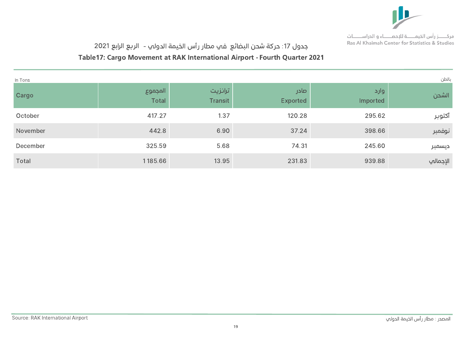

# جدول 17: حركة شحن البضائع في مطار رأس الخيمة الدولي - الربع الرابع 2021

#### Table17: Cargo Movement at RAK International Airport - Fourth Quarter 2021

| In Tons  |                         |                           |                         |                  | بالطن    |
|----------|-------------------------|---------------------------|-------------------------|------------------|----------|
| Cargo    | المجموع<br><b>Total</b> | ترانزيت<br><b>Transit</b> | صادر<br><b>Exported</b> | وارد<br>Imported | الشحن    |
| October  | 417.27                  | 1.37                      | 120.28                  | 295.62           | أكتوبر   |
| November | 442.8                   | 6.90                      | 37.24                   | 398.66           | نوفمبر   |
| December | 325.59                  | 5.68                      | 74.31                   | 245.60           | ديسمبر   |
| Total    | 1185.66                 | 13.95                     | 231.83                  | 939.88           | الإجمالي |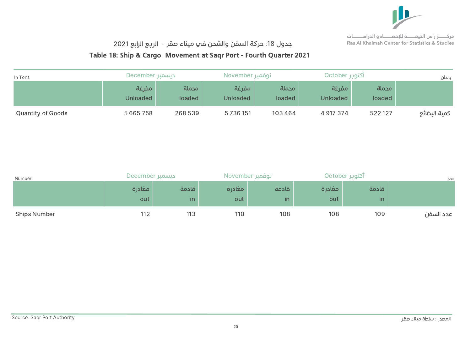

## جدول 18: حركة السفن والشحن في ميناء صقر - الربع الرابع 2021

#### Table 18: Ship & Cargo Movement at Saqr Port - Fourth Quarter 2021

| In Tons                  | - ديسمبر December |                 | November نوفمبر          |                 | آکتوپر October           |                 | بالطن        |
|--------------------------|-------------------|-----------------|--------------------------|-----------------|--------------------------|-----------------|--------------|
|                          | مفرغة<br>Unloaded | محملة<br>loaded | مفرغة<br><b>Unloaded</b> | محملة<br>loaded | مفرغة<br><b>Unloaded</b> | محملة<br>loaded |              |
| <b>Quantity of Goods</b> | 5 6 6 5 7 5 8     | 268 539         | 5736151                  | 103 464         | 4 917 374                | 522127          | كمية البضائع |

| Number              | Extember ديسمبر |              | November نوفمبر |                        | آکتوبر October |                                  | عدد       |
|---------------------|-----------------|--------------|-----------------|------------------------|----------------|----------------------------------|-----------|
|                     | مغادرة<br>out   | قادمة<br>in. | مغادرة<br>out   | قادمة<br>$\mathsf{in}$ | مغادرة<br>out  | قادمة<br>$\overline{\mathsf{m}}$ |           |
| <b>Ships Number</b> | 112             | 113          | 110             | 108                    | 108            | 109                              | عدد السفن |